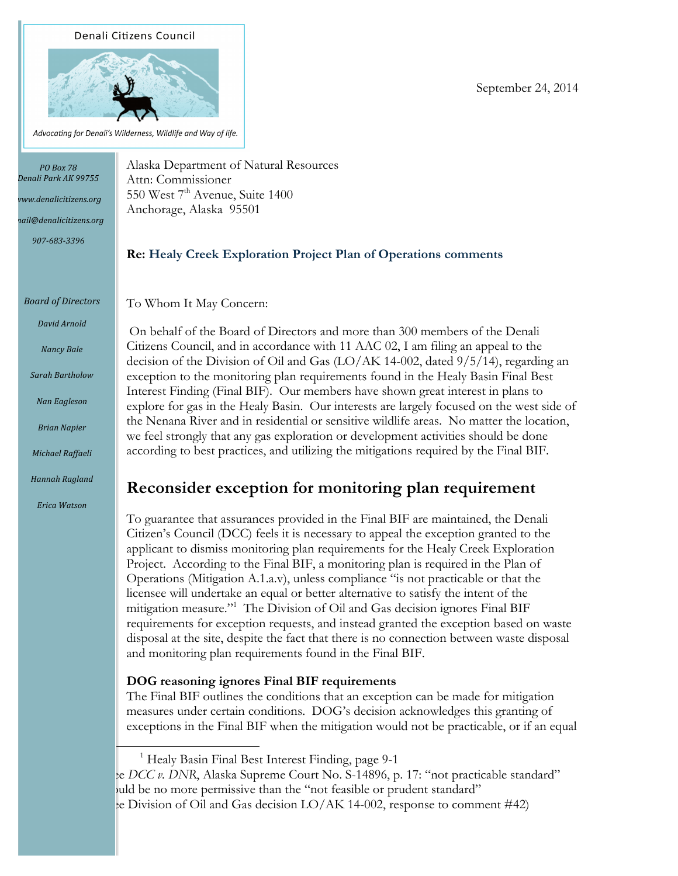#### **Denali Citizens Council**



Advocating for Denali's Wilderness, Wildlife and Way of life.

*PO Box 78 Denali Park AK 99755*

*www.denalicitizens.org*

*mail@denalicitizens.org*

*907-683-3396*

*Board of Directors*

*David Arnold*

*Nancy Bale*

*Sarah Bartholow*

*Nan Eagleson*

*Brian Napier*

*Michael Raffaeli*

*Hannah Ragland*

*Erica Watson*

Alaska Department of Natural Resources Attn: Commissioner 550 West 7<sup>th</sup> Avenue, Suite 1400 Anchorage, Alaska 95501

# **Re: Healy Creek Exploration Project Plan of Operations comments**

To Whom It May Concern:

On behalf of the Board of Directors and more than 300 members of the Denali Citizens Council, and in accordance with 11 AAC 02, I am filing an appeal to the decision of the Division of Oil and Gas (LO/AK 14-002, dated 9/5/14), regarding an exception to the monitoring plan requirements found in the Healy Basin Final Best Interest Finding (Final BIF). Our members have shown great interest in plans to explore for gas in the Healy Basin. Our interests are largely focused on the west side of the Nenana River and in residential or sensitive wildlife areas. No matter the location, we feel strongly that any gas exploration or development activities should be done according to best practices, and utilizing the mitigations required by the Final BIF.

# **Reconsider exception for monitoring plan requirement**

To guarantee that assurances provided in the Final BIF are maintained, the Denali Citizen's Council (DCC) feels it is necessary to appeal the exception granted to the applicant to dismiss monitoring plan requirements for the Healy Creek Exploration Project. According to the Final BIF, a monitoring plan is required in the Plan of Operations (Mitigation A.1.a.v), unless compliance "is not practicable or that the licensee will undertake an equal or better alternative to satisfy the intent of the mitigation measure."1 The Division of Oil and Gas decision ignores Final BIF requirements for exception requests, and instead granted the exception based on waste disposal at the site, despite the fact that there is no connection between waste disposal and monitoring plan requirements found in the Final BIF.

# **DOG reasoning ignores Final BIF requirements**

The Final BIF outlines the conditions that an exception can be made for mitigation measures under certain conditions. DOG's decision acknowledges this granting of exceptions in the Final BIF when the mitigation would not be practicable, or if an equal

<sup>1</sup> Healy Basin Final Best Interest Finding, page 9-1

 

<sup>2</sup> See *DCC v. DNR*, Alaska Supreme Court No. S-14896, p. 17: "not practicable standard" buld be no more permissive than the "not feasible or prudent standard" <sup>3</sup> See Division of Oil and Gas decision LO/AK 14-002, response to comment #42)

September 24, 2014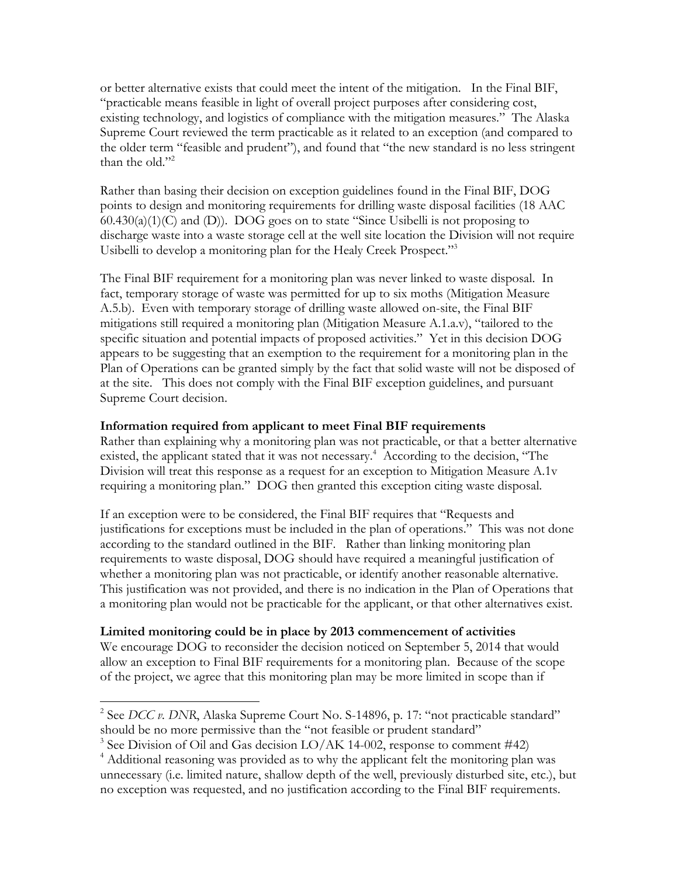or better alternative exists that could meet the intent of the mitigation. In the Final BIF, "practicable means feasible in light of overall project purposes after considering cost, existing technology, and logistics of compliance with the mitigation measures." The Alaska Supreme Court reviewed the term practicable as it related to an exception (and compared to the older term "feasible and prudent"), and found that "the new standard is no less stringent than the old $"^2$ 

Rather than basing their decision on exception guidelines found in the Final BIF, DOG points to design and monitoring requirements for drilling waste disposal facilities (18 AAC  $60.430(a)(1)(C)$  and (D)). DOG goes on to state "Since Usibelli is not proposing to discharge waste into a waste storage cell at the well site location the Division will not require Usibelli to develop a monitoring plan for the Healy Creek Prospect."3

The Final BIF requirement for a monitoring plan was never linked to waste disposal. In fact, temporary storage of waste was permitted for up to six moths (Mitigation Measure A.5.b). Even with temporary storage of drilling waste allowed on-site, the Final BIF mitigations still required a monitoring plan (Mitigation Measure A.1.a.v), "tailored to the specific situation and potential impacts of proposed activities." Yet in this decision DOG appears to be suggesting that an exemption to the requirement for a monitoring plan in the Plan of Operations can be granted simply by the fact that solid waste will not be disposed of at the site. This does not comply with the Final BIF exception guidelines, and pursuant Supreme Court decision.

## **Information required from applicant to meet Final BIF requirements**

Rather than explaining why a monitoring plan was not practicable, or that a better alternative existed, the applicant stated that it was not necessary.<sup>4</sup> According to the decision, "The Division will treat this response as a request for an exception to Mitigation Measure A.1v requiring a monitoring plan." DOG then granted this exception citing waste disposal.

If an exception were to be considered, the Final BIF requires that "Requests and justifications for exceptions must be included in the plan of operations." This was not done according to the standard outlined in the BIF. Rather than linking monitoring plan requirements to waste disposal, DOG should have required a meaningful justification of whether a monitoring plan was not practicable, or identify another reasonable alternative. This justification was not provided, and there is no indication in the Plan of Operations that a monitoring plan would not be practicable for the applicant, or that other alternatives exist.

#### **Limited monitoring could be in place by 2013 commencement of activities**

 

We encourage DOG to reconsider the decision noticed on September 5, 2014 that would allow an exception to Final BIF requirements for a monitoring plan. Because of the scope of the project, we agree that this monitoring plan may be more limited in scope than if

<sup>&</sup>lt;sup>2</sup> See *DCC v. DNR*, Alaska Supreme Court No. S-14896, p. 17: "not practicable standard" should be no more permissive than the "not feasible or prudent standard"

 $3$  See Division of Oil and Gas decision LO/AK 14-002, response to comment #42)

<sup>&</sup>lt;sup>4</sup> Additional reasoning was provided as to why the applicant felt the monitoring plan was unnecessary (i.e. limited nature, shallow depth of the well, previously disturbed site, etc.), but no exception was requested, and no justification according to the Final BIF requirements.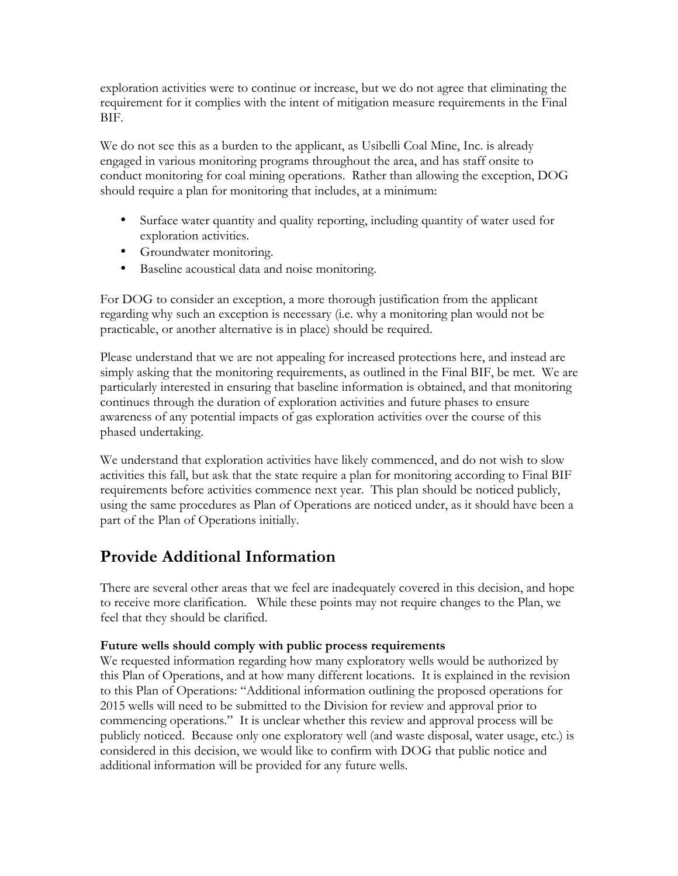exploration activities were to continue or increase, but we do not agree that eliminating the requirement for it complies with the intent of mitigation measure requirements in the Final BIF.

We do not see this as a burden to the applicant, as Usibelli Coal Mine, Inc. is already engaged in various monitoring programs throughout the area, and has staff onsite to conduct monitoring for coal mining operations. Rather than allowing the exception, DOG should require a plan for monitoring that includes, at a minimum:

- Surface water quantity and quality reporting, including quantity of water used for exploration activities.
- Groundwater monitoring.
- Baseline acoustical data and noise monitoring.

For DOG to consider an exception, a more thorough justification from the applicant regarding why such an exception is necessary (i.e. why a monitoring plan would not be practicable, or another alternative is in place) should be required.

Please understand that we are not appealing for increased protections here, and instead are simply asking that the monitoring requirements, as outlined in the Final BIF, be met. We are particularly interested in ensuring that baseline information is obtained, and that monitoring continues through the duration of exploration activities and future phases to ensure awareness of any potential impacts of gas exploration activities over the course of this phased undertaking.

We understand that exploration activities have likely commenced, and do not wish to slow activities this fall, but ask that the state require a plan for monitoring according to Final BIF requirements before activities commence next year. This plan should be noticed publicly, using the same procedures as Plan of Operations are noticed under, as it should have been a part of the Plan of Operations initially.

# **Provide Additional Information**

There are several other areas that we feel are inadequately covered in this decision, and hope to receive more clarification. While these points may not require changes to the Plan, we feel that they should be clarified.

# **Future wells should comply with public process requirements**

We requested information regarding how many exploratory wells would be authorized by this Plan of Operations, and at how many different locations. It is explained in the revision to this Plan of Operations: "Additional information outlining the proposed operations for 2015 wells will need to be submitted to the Division for review and approval prior to commencing operations." It is unclear whether this review and approval process will be publicly noticed. Because only one exploratory well (and waste disposal, water usage, etc.) is considered in this decision, we would like to confirm with DOG that public notice and additional information will be provided for any future wells.